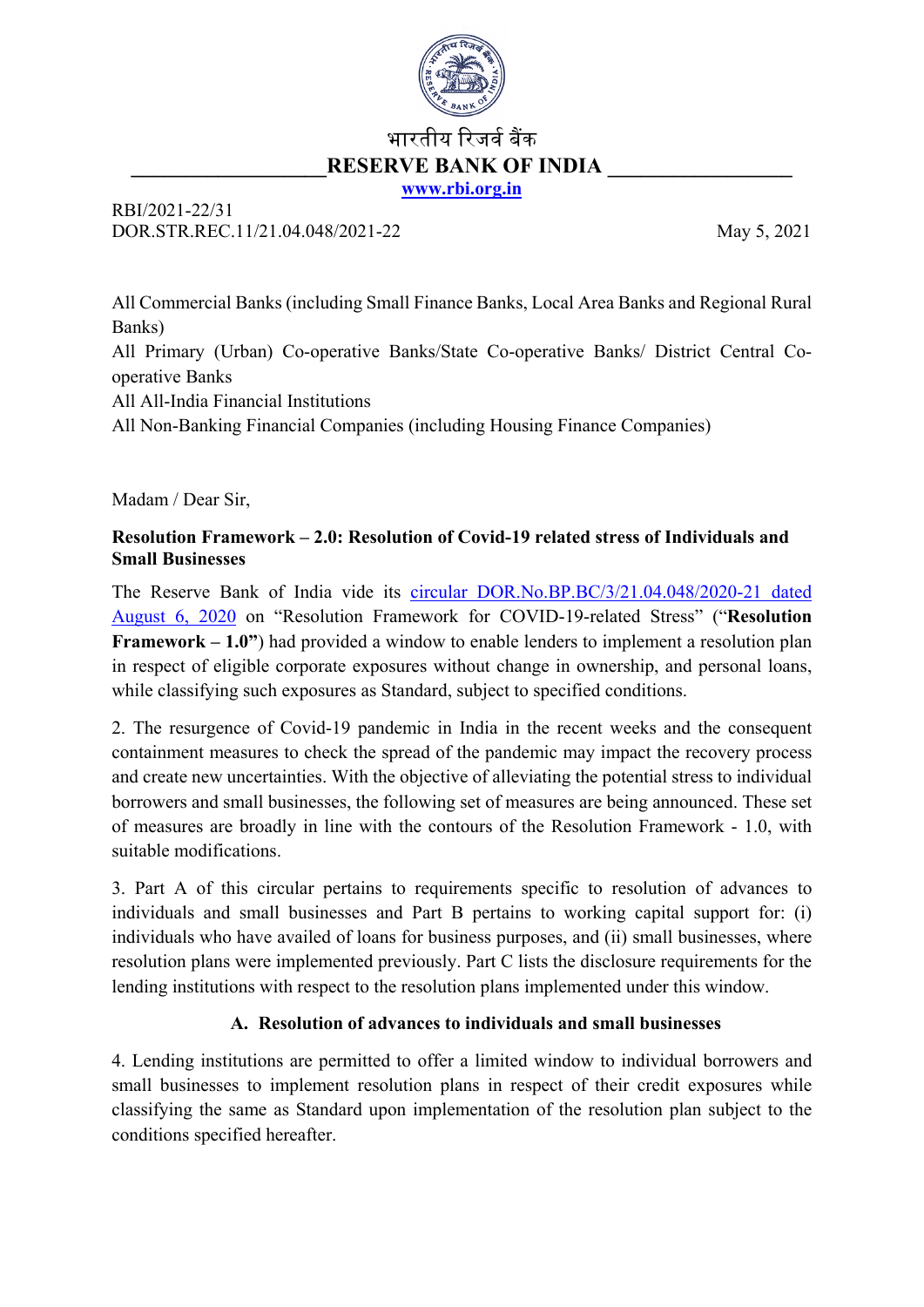

# भारतीय रिजर्व बैंक **RESERVE BANK OF INDIA**

**[www.rbi.org.in](http://www.rbi.org.in/)**

RBI/2021-22/31 DOR.STR.REC.11/21.04.048/2021-22 May 5, 2021

All Commercial Banks (including Small Finance Banks, Local Area Banks and Regional Rural Banks) All Primary (Urban) Co-operative Banks/State Co-operative Banks/ District Central Cooperative Banks All All-India Financial Institutions All Non-Banking Financial Companies (including Housing Finance Companies)

Madam / Dear Sir,

### **Resolution Framework – 2.0: Resolution of Covid-19 related stress of Individuals and Small Businesses**

The Reserve Bank of India vide its [circular DOR.No.BP.BC/3/21.04.048/2020-21 dated](https://rbi.org.in/Scripts/NotificationUser.aspx?Id=11941&Mode=0)  [August 6, 2020](https://rbi.org.in/Scripts/NotificationUser.aspx?Id=11941&Mode=0) on "Resolution Framework for COVID-19-related Stress" ("**Resolution Framework – 1.0"**) had provided a window to enable lenders to implement a resolution plan in respect of eligible corporate exposures without change in ownership, and personal loans, while classifying such exposures as Standard, subject to specified conditions.

2. The resurgence of Covid-19 pandemic in India in the recent weeks and the consequent containment measures to check the spread of the pandemic may impact the recovery process and create new uncertainties. With the objective of alleviating the potential stress to individual borrowers and small businesses, the following set of measures are being announced. These set of measures are broadly in line with the contours of the Resolution Framework - 1.0, with suitable modifications.

3. Part A of this circular pertains to requirements specific to resolution of advances to individuals and small businesses and Part B pertains to working capital support for: (i) individuals who have availed of loans for business purposes, and (ii) small businesses, where resolution plans were implemented previously. Part C lists the disclosure requirements for the lending institutions with respect to the resolution plans implemented under this window.

# **A. Resolution of advances to individuals and small businesses**

4. Lending institutions are permitted to offer a limited window to individual borrowers and small businesses to implement resolution plans in respect of their credit exposures while classifying the same as Standard upon implementation of the resolution plan subject to the conditions specified hereafter.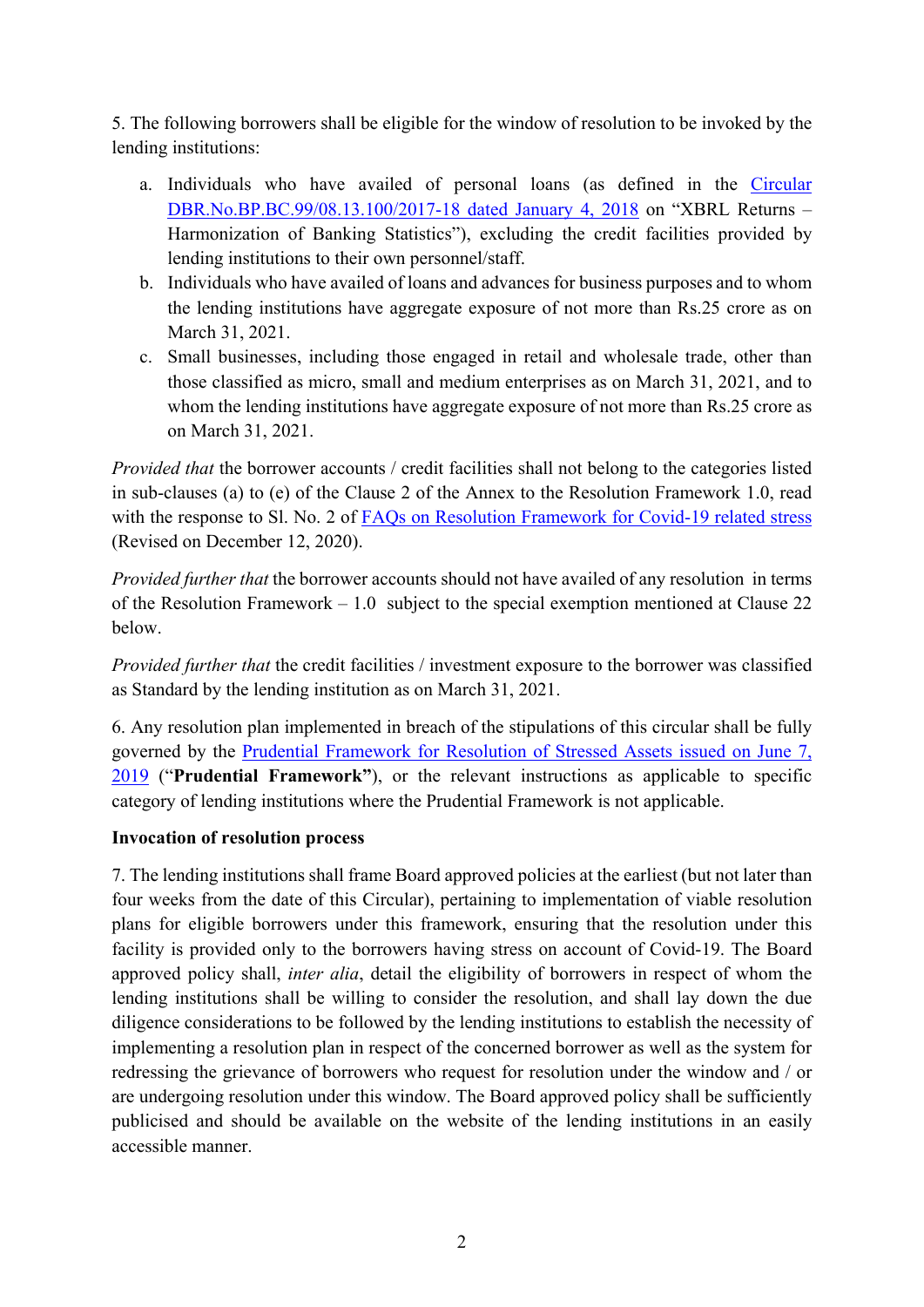5. The following borrowers shall be eligible for the window of resolution to be invoked by the lending institutions:

- a. Individuals who have availed of personal loans (as defined in the [Circular](https://www.rbi.org.in/Scripts/NotificationUser.aspx?Id=11199&Mode=0)  [DBR.No.BP.BC.99/08.13.100/2017-18 dated January 4, 2018](https://www.rbi.org.in/Scripts/NotificationUser.aspx?Id=11199&Mode=0) on "XBRL Returns – Harmonization of Banking Statistics"), excluding the credit facilities provided by lending institutions to their own personnel/staff.
- b. Individuals who have availed of loans and advances for business purposes and to whom the lending institutions have aggregate exposure of not more than Rs.25 crore as on March 31, 2021.
- c. Small businesses, including those engaged in retail and wholesale trade, other than those classified as micro, small and medium enterprises as on March 31, 2021, and to whom the lending institutions have aggregate exposure of not more than Rs.25 crore as on March 31, 2021.

*Provided that* the borrower accounts / credit facilities shall not belong to the categories listed in sub-clauses (a) to (e) of the Clause 2 of the Annex to the Resolution Framework 1.0, read with the response to Sl. No. 2 of [FAQs on Resolution Framework for Covid-19 related stress](https://www.rbi.org.in/Scripts/FAQView.aspx?Id=137) (Revised on December 12, 2020).

*Provided further that* the borrower accounts should not have availed of any resolution in terms of the Resolution Framework – 1.0 subject to the special exemption mentioned at Clause 22 below.

*Provided further that* the credit facilities / investment exposure to the borrower was classified as Standard by the lending institution as on March 31, 2021.

6. Any resolution plan implemented in breach of the stipulations of this circular shall be fully governed by the [Prudential Framework for Resolution of Stressed Assets issued on June 7,](https://www.rbi.org.in/Scripts/NotificationUser.aspx?Id=11580&Mode=0)  [2019](https://www.rbi.org.in/Scripts/NotificationUser.aspx?Id=11580&Mode=0) ("**Prudential Framework"**), or the relevant instructions as applicable to specific category of lending institutions where the Prudential Framework is not applicable.

#### **Invocation of resolution process**

7. The lending institutions shall frame Board approved policies at the earliest (but not later than four weeks from the date of this Circular), pertaining to implementation of viable resolution plans for eligible borrowers under this framework, ensuring that the resolution under this facility is provided only to the borrowers having stress on account of Covid-19. The Board approved policy shall, *inter alia*, detail the eligibility of borrowers in respect of whom the lending institutions shall be willing to consider the resolution, and shall lay down the due diligence considerations to be followed by the lending institutions to establish the necessity of implementing a resolution plan in respect of the concerned borrower as well as the system for redressing the grievance of borrowers who request for resolution under the window and / or are undergoing resolution under this window. The Board approved policy shall be sufficiently publicised and should be available on the website of the lending institutions in an easily accessible manner.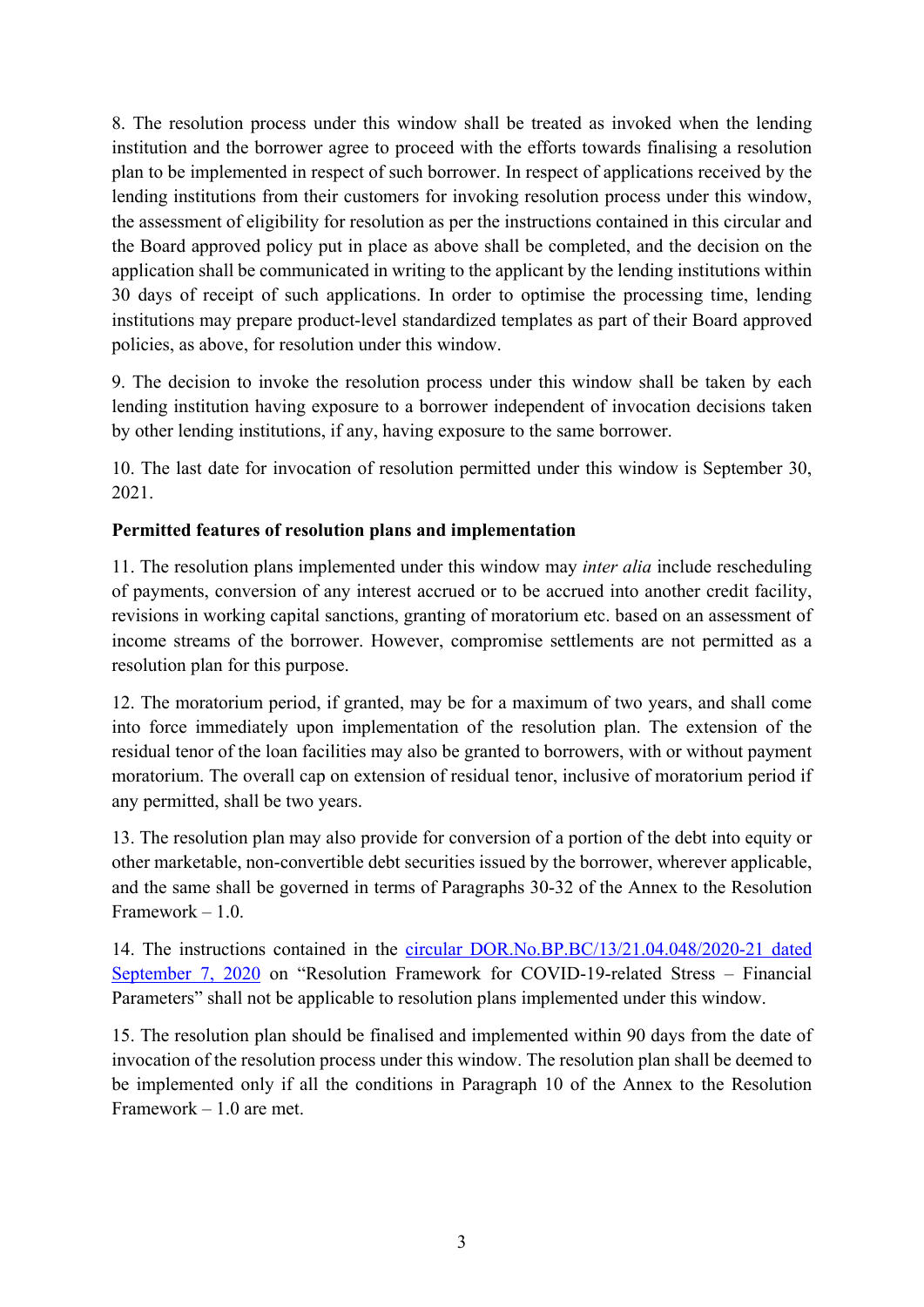8. The resolution process under this window shall be treated as invoked when the lending institution and the borrower agree to proceed with the efforts towards finalising a resolution plan to be implemented in respect of such borrower. In respect of applications received by the lending institutions from their customers for invoking resolution process under this window, the assessment of eligibility for resolution as per the instructions contained in this circular and the Board approved policy put in place as above shall be completed, and the decision on the application shall be communicated in writing to the applicant by the lending institutions within 30 days of receipt of such applications. In order to optimise the processing time, lending institutions may prepare product-level standardized templates as part of their Board approved policies, as above, for resolution under this window.

9. The decision to invoke the resolution process under this window shall be taken by each lending institution having exposure to a borrower independent of invocation decisions taken by other lending institutions, if any, having exposure to the same borrower.

10. The last date for invocation of resolution permitted under this window is September 30, 2021.

# **Permitted features of resolution plans and implementation**

11. The resolution plans implemented under this window may *inter alia* include rescheduling of payments, conversion of any interest accrued or to be accrued into another credit facility, revisions in working capital sanctions, granting of moratorium etc. based on an assessment of income streams of the borrower. However, compromise settlements are not permitted as a resolution plan for this purpose.

12. The moratorium period, if granted, may be for a maximum of two years, and shall come into force immediately upon implementation of the resolution plan. The extension of the residual tenor of the loan facilities may also be granted to borrowers, with or without payment moratorium. The overall cap on extension of residual tenor, inclusive of moratorium period if any permitted, shall be two years.

13. The resolution plan may also provide for conversion of a portion of the debt into equity or other marketable, non-convertible debt securities issued by the borrower, wherever applicable, and the same shall be governed in terms of Paragraphs 30-32 of the Annex to the Resolution Framework – 1.0.

14. The instructions contained in the [circular DOR.No.BP.BC/13/21.04.048/2020-21 dated](https://www.rbi.org.in/Scripts/NotificationUser.aspx?Id=11961&Mode=0)  [September 7, 2020](https://www.rbi.org.in/Scripts/NotificationUser.aspx?Id=11961&Mode=0) on "Resolution Framework for COVID-19-related Stress – Financial Parameters" shall not be applicable to resolution plans implemented under this window.

15. The resolution plan should be finalised and implemented within 90 days from the date of invocation of the resolution process under this window. The resolution plan shall be deemed to be implemented only if all the conditions in Paragraph 10 of the Annex to the Resolution Framework – 1.0 are met.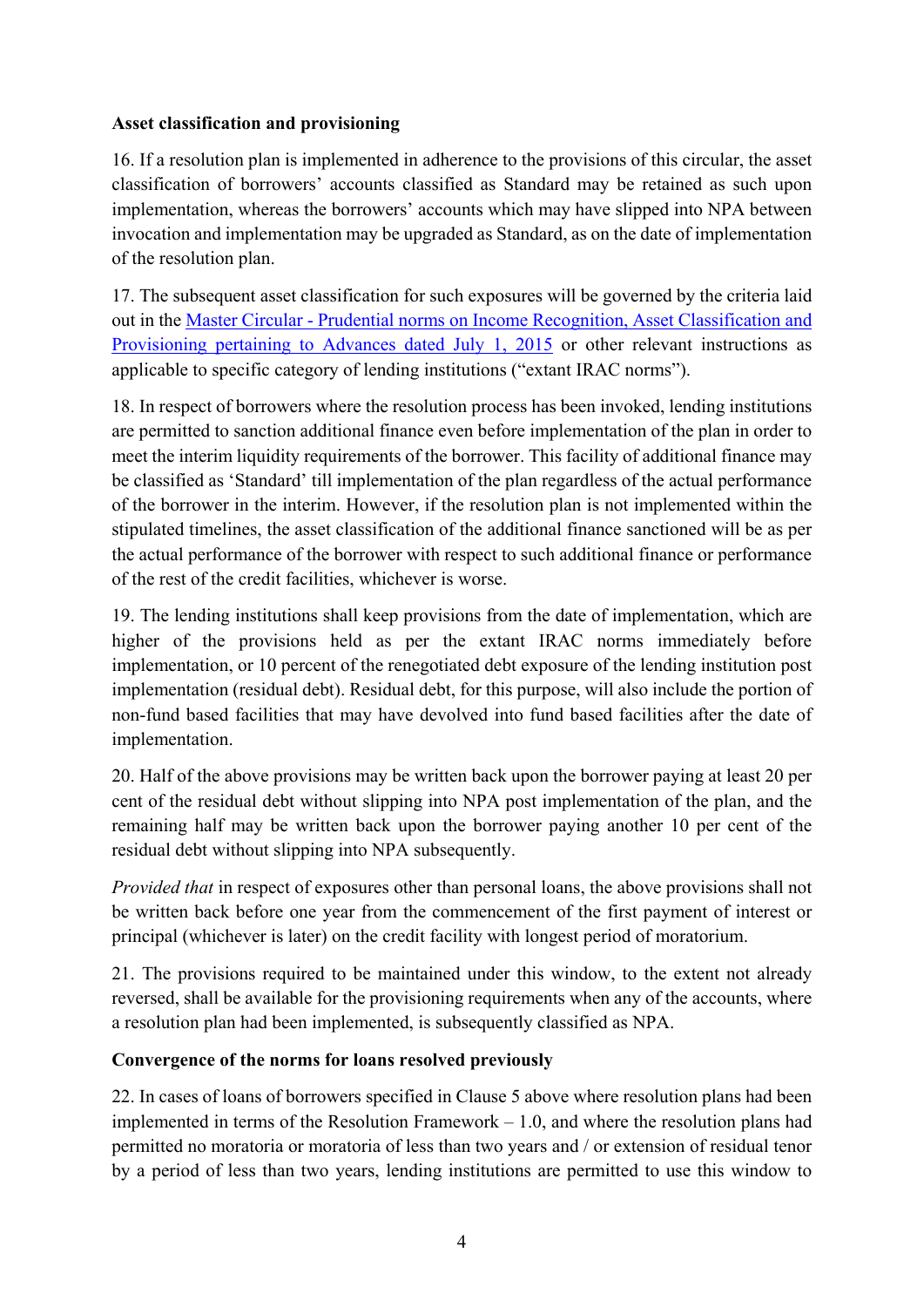#### **Asset classification and provisioning**

16. If a resolution plan is implemented in adherence to the provisions of this circular, the asset classification of borrowers' accounts classified as Standard may be retained as such upon implementation, whereas the borrowers' accounts which may have slipped into NPA between invocation and implementation may be upgraded as Standard, as on the date of implementation of the resolution plan.

17. The subsequent asset classification for such exposures will be governed by the criteria laid out in the Master Circular - [Prudential norms on Income Recognition, Asset Classification and](https://www.rbi.org.in/Scripts/BS_ViewMasCirculardetails.aspx?id=9908)  [Provisioning pertaining to Advances dated July 1, 2015](https://www.rbi.org.in/Scripts/BS_ViewMasCirculardetails.aspx?id=9908) or other relevant instructions as applicable to specific category of lending institutions ("extant IRAC norms").

18. In respect of borrowers where the resolution process has been invoked, lending institutions are permitted to sanction additional finance even before implementation of the plan in order to meet the interim liquidity requirements of the borrower. This facility of additional finance may be classified as 'Standard' till implementation of the plan regardless of the actual performance of the borrower in the interim. However, if the resolution plan is not implemented within the stipulated timelines, the asset classification of the additional finance sanctioned will be as per the actual performance of the borrower with respect to such additional finance or performance of the rest of the credit facilities, whichever is worse.

19. The lending institutions shall keep provisions from the date of implementation, which are higher of the provisions held as per the extant IRAC norms immediately before implementation, or 10 percent of the renegotiated debt exposure of the lending institution post implementation (residual debt). Residual debt, for this purpose, will also include the portion of non-fund based facilities that may have devolved into fund based facilities after the date of implementation.

20. Half of the above provisions may be written back upon the borrower paying at least 20 per cent of the residual debt without slipping into NPA post implementation of the plan, and the remaining half may be written back upon the borrower paying another 10 per cent of the residual debt without slipping into NPA subsequently.

*Provided that* in respect of exposures other than personal loans, the above provisions shall not be written back before one year from the commencement of the first payment of interest or principal (whichever is later) on the credit facility with longest period of moratorium.

21. The provisions required to be maintained under this window, to the extent not already reversed, shall be available for the provisioning requirements when any of the accounts, where a resolution plan had been implemented, is subsequently classified as NPA.

# **Convergence of the norms for loans resolved previously**

22. In cases of loans of borrowers specified in Clause 5 above where resolution plans had been implemented in terms of the Resolution Framework – 1.0, and where the resolution plans had permitted no moratoria or moratoria of less than two years and / or extension of residual tenor by a period of less than two years, lending institutions are permitted to use this window to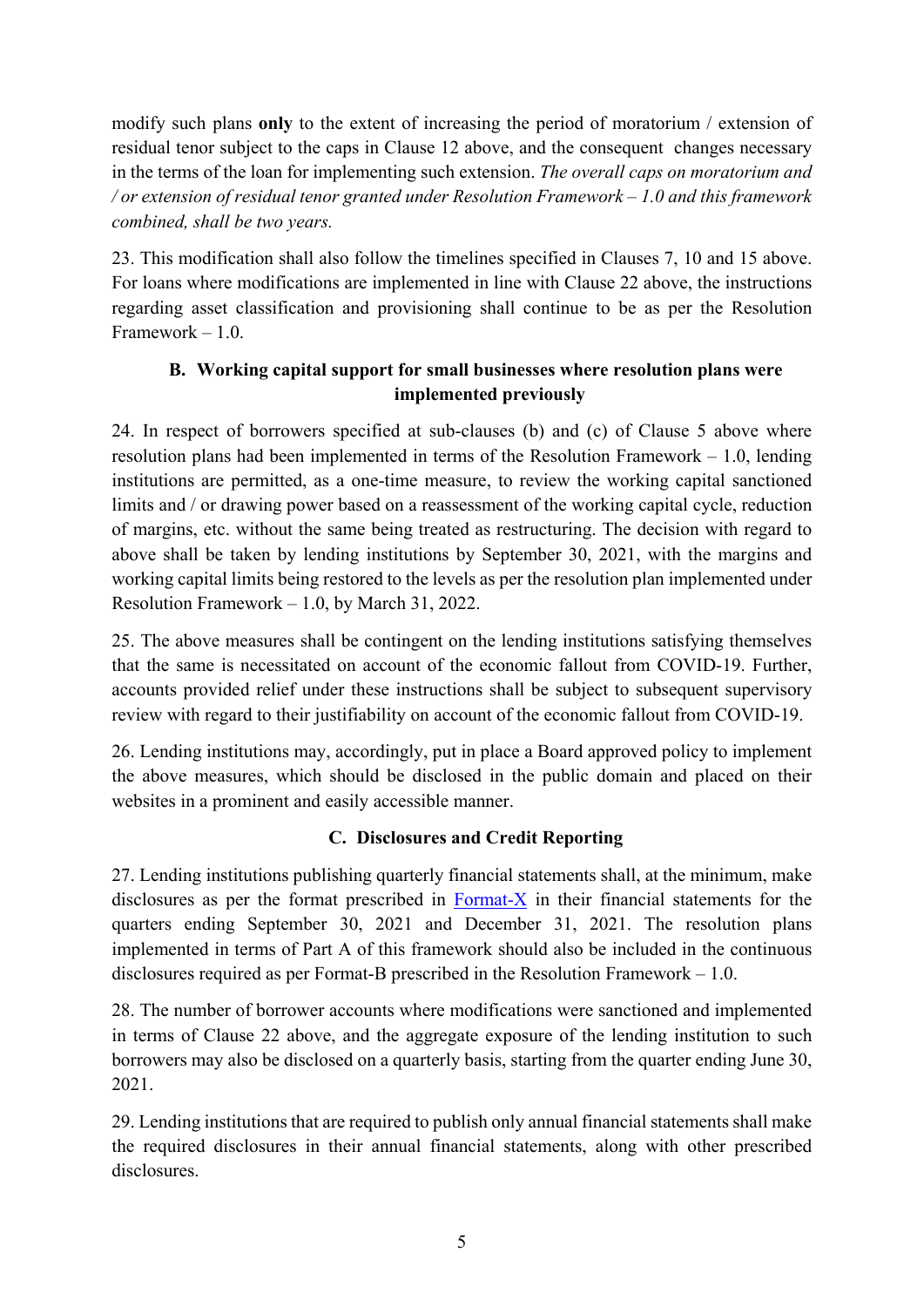modify such plans **only** to the extent of increasing the period of moratorium / extension of residual tenor subject to the caps in Clause 12 above, and the consequent changes necessary in the terms of the loan for implementing such extension. *The overall caps on moratorium and / or extension of residual tenor granted under Resolution Framework – 1.0 and this framework combined, shall be two years.*

23. This modification shall also follow the timelines specified in Clauses 7, 10 and 15 above. For loans where modifications are implemented in line with Clause 22 above, the instructions regarding asset classification and provisioning shall continue to be as per the Resolution Framework – 1.0.

# **B. Working capital support for small businesses where resolution plans were implemented previously**

24. In respect of borrowers specified at sub-clauses (b) and (c) of Clause 5 above where resolution plans had been implemented in terms of the Resolution Framework – 1.0, lending institutions are permitted, as a one-time measure, to review the working capital sanctioned limits and / or drawing power based on a reassessment of the working capital cycle, reduction of margins, etc. without the same being treated as restructuring. The decision with regard to above shall be taken by lending institutions by September 30, 2021, with the margins and working capital limits being restored to the levels as per the resolution plan implemented under Resolution Framework – 1.0, by March 31, 2022.

25. The above measures shall be contingent on the lending institutions satisfying themselves that the same is necessitated on account of the economic fallout from COVID-19. Further, accounts provided relief under these instructions shall be subject to subsequent supervisory review with regard to their justifiability on account of the economic fallout from COVID-19.

26. Lending institutions may, accordingly, put in place a Board approved policy to implement the above measures, which should be disclosed in the public domain and placed on their websites in a prominent and easily accessible manner.

# **C. Disclosures and Credit Reporting**

27. Lending institutions publishing quarterly financial statements shall, at the minimum, make disclosures as per the format prescribed in  $\overline{Format-X}$  in their financial statements for the quarters ending September 30, 2021 and December 31, 2021. The resolution plans implemented in terms of Part A of this framework should also be included in the continuous disclosures required as per Format-B prescribed in the Resolution Framework – 1.0.

28. The number of borrower accounts where modifications were sanctioned and implemented in terms of Clause 22 above, and the aggregate exposure of the lending institution to such borrowers may also be disclosed on a quarterly basis, starting from the quarter ending June 30, 2021.

29. Lending institutions that are required to publish only annual financial statements shall make the required disclosures in their annual financial statements, along with other prescribed disclosures.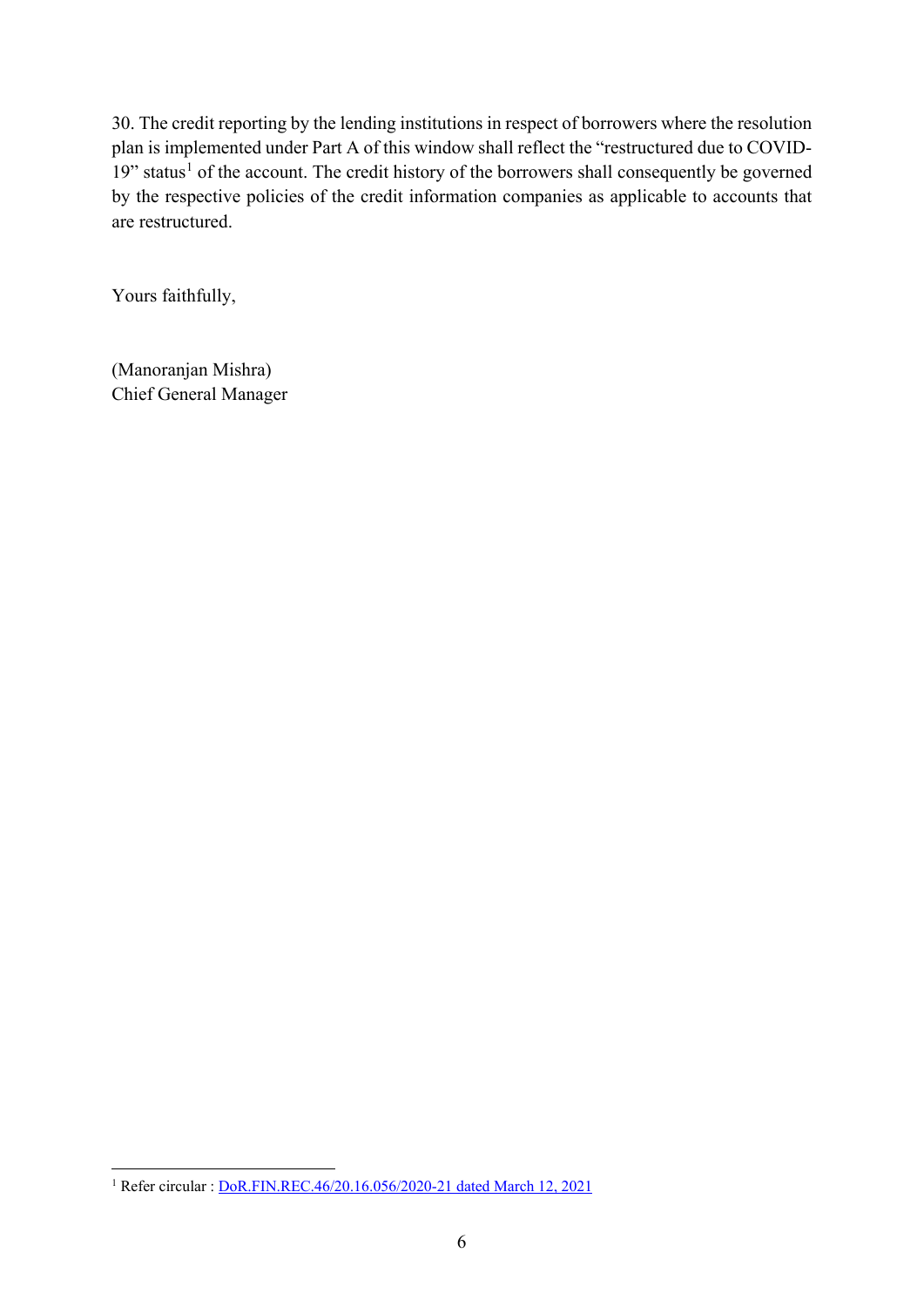30. The credit reporting by the lending institutions in respect of borrowers where the resolution plan is implemented under Part A of this window shall reflect the "restructured due to COVID-[1](#page-5-0)9" status<sup>1</sup> of the account. The credit history of the borrowers shall consequently be governed by the respective policies of the credit information companies as applicable to accounts that are restructured.

Yours faithfully,

(Manoranjan Mishra) Chief General Manager

<span id="page-5-0"></span><sup>&</sup>lt;sup>1</sup> Refer circular : <u>DoR.FIN.REC.46/20.16.056/2020-21 dated March 12, 2021</u>